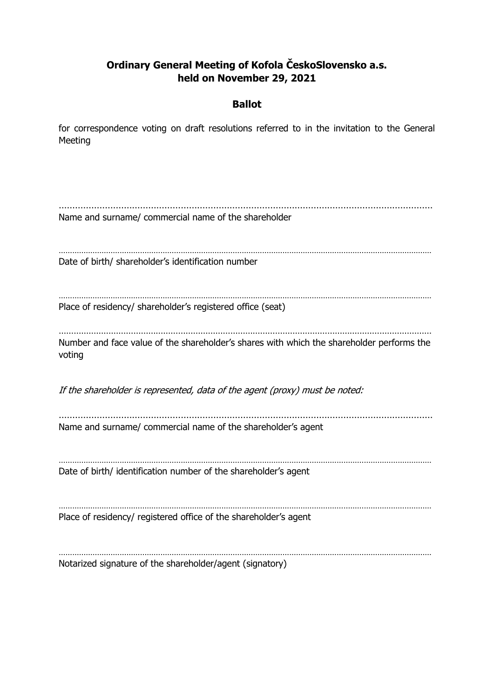# **Ordinary General Meeting of Kofola ČeskoSlovensko a.s. held on November 29, 2021**

## **Ballot**

for correspondence voting on draft resolutions referred to in the invitation to the General Meeting

………………………………………………………………………………………………………………………… Name and surname/ commercial name of the shareholder ………………………………………………………………………………………………………………………………………………… Date of birth/ shareholder's identification number ………………………………………………………………………………………………………………………………………………… Place of residency/ shareholder's registered office (seat) …………………………………………………………………………………………………………………………………… Number and face value of the shareholder's shares with which the shareholder performs the voting If the shareholder is represented, data of the agent (proxy) must be noted: ………………………………………………………………………………………………………………………… Name and surname/ commercial name of the shareholder's agent ………………………………………………………………………………………………………………………………………………… Date of birth/ identification number of the shareholder's agent . The same independent of the same independent of the same independent of the same independent of the same independent of the same independent of the same independent of the same independent of the same independent of the Place of residency/ registered office of the shareholder's agent ………………………………………………………………………………………………………………………………………………… Notarized signature of the shareholder/agent (signatory)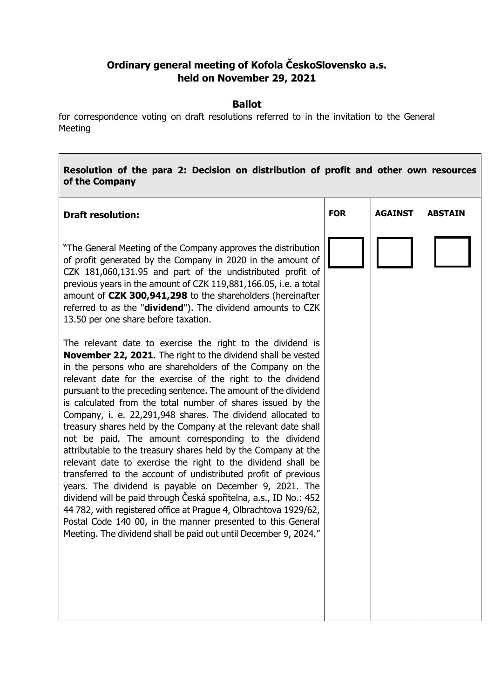# **Ordinary general meeting of Kofola ČeskoSlovensko a.s. held on November 29, 2021**

#### **Ballot**

for correspondence voting on draft resolutions referred to in the invitation to the General Meeting

## **Resolution of the para 2: Decision on distribution of profit and other own resources of the Company**

| <b>Draft resolution:</b>                                                                                                                                                                                                                                                                                                                                                                                                                                                                                                                                                                                                                                                                                                                                                                                                                                                                                                                                                                                                                                                                                                            | <b>FOR</b> | <b>AGAINST</b> | <b>ABSTAIN</b> |
|-------------------------------------------------------------------------------------------------------------------------------------------------------------------------------------------------------------------------------------------------------------------------------------------------------------------------------------------------------------------------------------------------------------------------------------------------------------------------------------------------------------------------------------------------------------------------------------------------------------------------------------------------------------------------------------------------------------------------------------------------------------------------------------------------------------------------------------------------------------------------------------------------------------------------------------------------------------------------------------------------------------------------------------------------------------------------------------------------------------------------------------|------------|----------------|----------------|
| "The General Meeting of the Company approves the distribution<br>of profit generated by the Company in 2020 in the amount of<br>CZK 181,060,131.95 and part of the undistributed profit of<br>previous years in the amount of CZK 119,881,166.05, i.e. a total<br>amount of CZK 300,941,298 to the shareholders (hereinafter<br>referred to as the " <b>dividend</b> "). The dividend amounts to CZK<br>13.50 per one share before taxation.                                                                                                                                                                                                                                                                                                                                                                                                                                                                                                                                                                                                                                                                                        |            |                |                |
| The relevant date to exercise the right to the dividend is<br><b>November 22, 2021.</b> The right to the dividend shall be vested<br>in the persons who are shareholders of the Company on the<br>relevant date for the exercise of the right to the dividend<br>pursuant to the preceding sentence. The amount of the dividend<br>is calculated from the total number of shares issued by the<br>Company, i. e. 22,291,948 shares. The dividend allocated to<br>treasury shares held by the Company at the relevant date shall<br>not be paid. The amount corresponding to the dividend<br>attributable to the treasury shares held by the Company at the<br>relevant date to exercise the right to the dividend shall be<br>transferred to the account of undistributed profit of previous<br>years. The dividend is payable on December 9, 2021. The<br>dividend will be paid through Česká spořitelna, a.s., ID No.: 452<br>44 782, with registered office at Prague 4, Olbrachtova 1929/62,<br>Postal Code 140 00, in the manner presented to this General<br>Meeting. The dividend shall be paid out until December 9, 2024." |            |                |                |